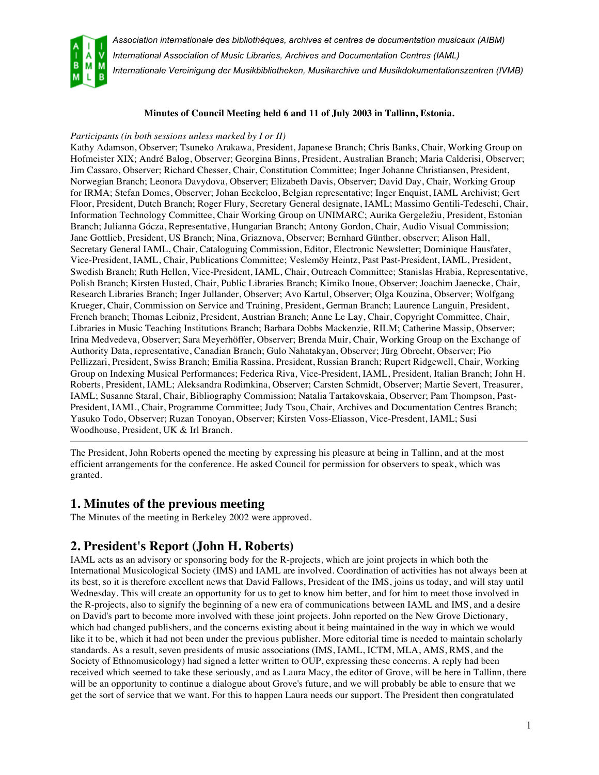

*International Association of Music Libraries, Archives and Documentation Centres (IAML)*

*Internationale Vereinigung der Musikbibliotheken, Musikarchive und Musikdokumentationszentren (IVMB)*

#### **Minutes of Council Meeting held 6 and 11 of July 2003 in Tallinn, Estonia.**

#### *Participants (in both sessions unless marked by I or II)*

Kathy Adamson, Observer; Tsuneko Arakawa, President, Japanese Branch; Chris Banks, Chair, Working Group on Hofmeister XIX; André Balog, Observer; Georgina Binns, President, Australian Branch; Maria Calderisi, Observer; Jim Cassaro, Observer; Richard Chesser, Chair, Constitution Committee; Inger Johanne Christiansen, President, Norwegian Branch; Leonora Davydova, Observer; Elizabeth Davis, Observer; David Day, Chair, Working Group for IRMA; Stefan Domes, Observer; Johan Eeckeloo, Belgian representative; Inger Enquist, IAML Archivist; Gert Floor, President, Dutch Branch; Roger Flury, Secretary General designate, IAML; Massimo Gentili-Tedeschi, Chair, Information Technology Committee, Chair Working Group on UNIMARC; Aurika Gergeležiu, President, Estonian Branch; Julianna Gócza, Representative, Hungarian Branch; Antony Gordon, Chair, Audio Visual Commission; Jane Gottlieb, President, US Branch; Nina, Griaznova, Observer; Bernhard Günther, observer; Alison Hall, Secretary General IAML, Chair, Cataloguing Commission, Editor, Electronic Newsletter; Dominique Hausfater, Vice-President, IAML, Chair, Publications Committee; Veslemöy Heintz, Past Past-President, IAML, President, Swedish Branch; Ruth Hellen, Vice-President, IAML, Chair, Outreach Committee; Stanislas Hrabia, Representative, Polish Branch; Kirsten Husted, Chair, Public Libraries Branch; Kimiko Inoue, Observer; Joachim Jaenecke, Chair, Research Libraries Branch; Inger Jullander, Observer; Avo Kartul, Observer; Olga Kouzina, Observer; Wolfgang Krueger, Chair, Commission on Service and Training, President, German Branch; Laurence Languin, President, French branch; Thomas Leibniz, President, Austrian Branch; Anne Le Lay, Chair, Copyright Committee, Chair, Libraries in Music Teaching Institutions Branch; Barbara Dobbs Mackenzie, RILM; Catherine Massip, Observer; Irina Medvedeva, Observer; Sara Meyerhöffer, Observer; Brenda Muir, Chair, Working Group on the Exchange of Authority Data, representative, Canadian Branch; Gulo Nahatakyan, Observer; Jürg Obrecht, Observer; Pio Pellizzari, President, Swiss Branch; Emilia Rassina, President, Russian Branch; Rupert Ridgewell, Chair, Working Group on Indexing Musical Performances; Federica Riva, Vice-President, IAML, President, Italian Branch; John H. Roberts, President, IAML; Aleksandra Rodimkina, Observer; Carsten Schmidt, Observer; Martie Severt, Treasurer, IAML; Susanne Staral, Chair, Bibliography Commission; Natalia Tartakovskaia, Observer; Pam Thompson, Past-President, IAML, Chair, Programme Committee; Judy Tsou, Chair, Archives and Documentation Centres Branch; Yasuko Todo, Observer; Ruzan Tonoyan, Observer; Kirsten Voss-Eliasson, Vice-Presdent, IAML; Susi Woodhouse, President, UK & Irl Branch.

The President, John Roberts opened the meeting by expressing his pleasure at being in Tallinn, and at the most efficient arrangements for the conference. He asked Council for permission for observers to speak, which was granted.

### **1. Minutes of the previous meeting**

The Minutes of the meeting in Berkeley 2002 were approved.

## **2. President's Report (John H. Roberts)**

IAML acts as an advisory or sponsoring body for the R-projects, which are joint projects in which both the International Musicological Society (IMS) and IAML are involved. Coordination of activities has not always been at its best, so it is therefore excellent news that David Fallows, President of the IMS, joins us today, and will stay until Wednesday. This will create an opportunity for us to get to know him better, and for him to meet those involved in the R-projects, also to signify the beginning of a new era of communications between IAML and IMS, and a desire on David's part to become more involved with these joint projects. John reported on the New Grove Dictionary, which had changed publishers, and the concerns existing about it being maintained in the way in which we would like it to be, which it had not been under the previous publisher. More editorial time is needed to maintain scholarly standards. As a result, seven presidents of music associations (IMS, IAML, ICTM, MLA, AMS, RMS, and the Society of Ethnomusicology) had signed a letter written to OUP, expressing these concerns. A reply had been received which seemed to take these seriously, and as Laura Macy, the editor of Grove, will be here in Tallinn, there will be an opportunity to continue a dialogue about Grove's future, and we will probably be able to ensure that we get the sort of service that we want. For this to happen Laura needs our support. The President then congratulated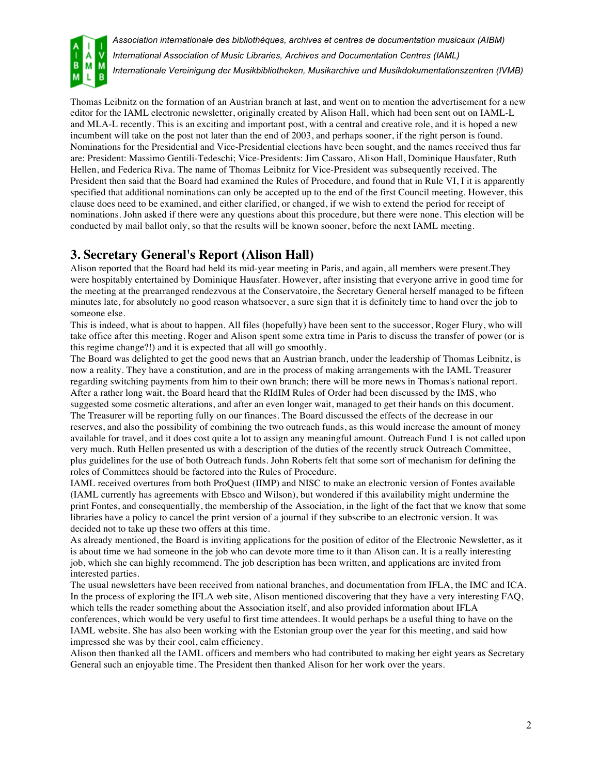

Thomas Leibnitz on the formation of an Austrian branch at last, and went on to mention the advertisement for a new editor for the IAML electronic newsletter, originally created by Alison Hall, which had been sent out on IAML-L and MLA-L recently. This is an exciting and important post, with a central and creative role, and it is hoped a new incumbent will take on the post not later than the end of 2003, and perhaps sooner, if the right person is found. Nominations for the Presidential and Vice-Presidential elections have been sought, and the names received thus far are: President: Massimo Gentili-Tedeschi; Vice-Presidents: Jim Cassaro, Alison Hall, Dominique Hausfater, Ruth Hellen, and Federica Riva. The name of Thomas Leibnitz for Vice-President was subsequently received. The President then said that the Board had examined the Rules of Procedure, and found that in Rule VI, I it is apparently specified that additional nominations can only be accepted up to the end of the first Council meeting. However, this clause does need to be examined, and either clarified, or changed, if we wish to extend the period for receipt of nominations. John asked if there were any questions about this procedure, but there were none. This election will be conducted by mail ballot only, so that the results will be known sooner, before the next IAML meeting.

## **3. Secretary General's Report (Alison Hall)**

Alison reported that the Board had held its mid-year meeting in Paris, and again, all members were present.They were hospitably entertained by Dominique Hausfater. However, after insisting that everyone arrive in good time for the meeting at the prearranged rendezvous at the Conservatoire, the Secretary General herself managed to be fifteen minutes late, for absolutely no good reason whatsoever, a sure sign that it is definitely time to hand over the job to someone else.

This is indeed, what is about to happen. All files (hopefully) have been sent to the successor, Roger Flury, who will take office after this meeting. Roger and Alison spent some extra time in Paris to discuss the transfer of power (or is this regime change?!) and it is expected that all will go smoothly.

The Board was delighted to get the good news that an Austrian branch, under the leadership of Thomas Leibnitz, is now a reality. They have a constitution, and are in the process of making arrangements with the IAML Treasurer regarding switching payments from him to their own branch; there will be more news in Thomas's national report. After a rather long wait, the Board heard that the RIdIM Rules of Order had been discussed by the IMS, who suggested some cosmetic alterations, and after an even longer wait, managed to get their hands on this document. The Treasurer will be reporting fully on our finances. The Board discussed the effects of the decrease in our reserves, and also the possibility of combining the two outreach funds, as this would increase the amount of money available for travel, and it does cost quite a lot to assign any meaningful amount. Outreach Fund 1 is not called upon very much. Ruth Hellen presented us with a description of the duties of the recently struck Outreach Committee, plus guidelines for the use of both Outreach funds. John Roberts felt that some sort of mechanism for defining the roles of Committees should be factored into the Rules of Procedure.

IAML received overtures from both ProQuest (IIMP) and NISC to make an electronic version of Fontes available (IAML currently has agreements with Ebsco and Wilson), but wondered if this availability might undermine the print Fontes, and consequentially, the membership of the Association, in the light of the fact that we know that some libraries have a policy to cancel the print version of a journal if they subscribe to an electronic version. It was decided not to take up these two offers at this time.

As already mentioned, the Board is inviting applications for the position of editor of the Electronic Newsletter, as it is about time we had someone in the job who can devote more time to it than Alison can. It is a really interesting job, which she can highly recommend. The job description has been written, and applications are invited from interested parties.

The usual newsletters have been received from national branches, and documentation from IFLA, the IMC and ICA. In the process of exploring the IFLA web site, Alison mentioned discovering that they have a very interesting FAQ, which tells the reader something about the Association itself, and also provided information about IFLA conferences, which would be very useful to first time attendees. It would perhaps be a useful thing to have on the IAML website. She has also been working with the Estonian group over the year for this meeting, and said how impressed she was by their cool, calm efficiency.

Alison then thanked all the IAML officers and members who had contributed to making her eight years as Secretary General such an enjoyable time. The President then thanked Alison for her work over the years.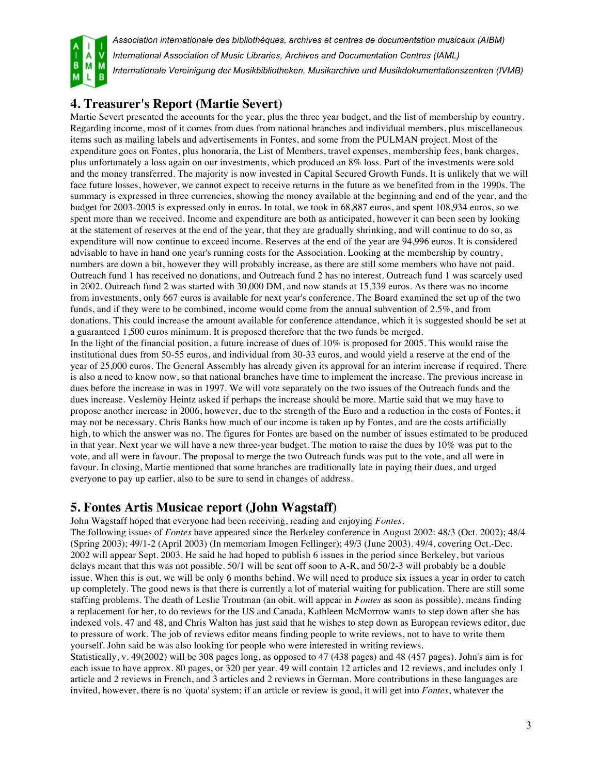

# **4. Treasurer's Report (Martie Severt)**

Martie Severt presented the accounts for the year, plus the three year budget, and the list of membership by country. Regarding income, most of it comes from dues from national branches and individual members, plus miscellaneous items such as mailing labels and advertisements in Fontes, and some from the PULMAN project. Most of the expenditure goes on Fontes, plus honoraria, the List of Members, travel expenses, membership fees, bank charges, plus unfortunately a loss again on our investments, which produced an 8% loss. Part of the investments were sold and the money transferred. The majority is now invested in Capital Secured Growth Funds. It is unlikely that we will face future losses, however, we cannot expect to receive returns in the future as we benefited from in the 1990s. The summary is expressed in three currencies, showing the money available at the beginning and end of the year, and the budget for 2003-2005 is expressed only in euros. In total, we took in 68,887 euros, and spent 108,934 euros, so we spent more than we received. Income and expenditure are both as anticipated, however it can been seen by looking at the statement of reserves at the end of the year, that they are gradually shrinking, and will continue to do so, as expenditure will now continue to exceed income. Reserves at the end of the year are 94,996 euros. It is considered advisable to have in hand one year's running costs for the Association. Looking at the membership by country, numbers are down a bit, however they will probably increase, as there are still some members who have not paid. Outreach fund 1 has received no donations, and Outreach fund 2 has no interest. Outreach fund 1 was scarcely used in 2002. Outreach fund 2 was started with 30,000 DM, and now stands at 15,339 euros. As there was no income from investments, only 667 euros is available for next year's conference. The Board examined the set up of the two funds, and if they were to be combined, income would come from the annual subvention of 2.5%, and from donations. This could increase the amount available for conference attendance, which it is suggested should be set at a guaranteed 1,500 euros minimum. It is proposed therefore that the two funds be merged. In the light of the financial position, a future increase of dues of 10% is proposed for 2005. This would raise the institutional dues from 50-55 euros, and individual from 30-33 euros, and would yield a reserve at the end of the year of 25,000 euros. The General Assembly has already given its approval for an interim increase if required. There is also a need to know now, so that national branches have time to implement the increase. The previous increase in dues before the increase in was in 1997. We will vote separately on the two issues of the Outreach funds and the dues increase. Veslemöy Heintz asked if perhaps the increase should be more. Martie said that we may have to propose another increase in 2006, however, due to the strength of the Euro and a reduction in the costs of Fontes, it may not be necessary. Chris Banks how much of our income is taken up by Fontes, and are the costs artificially high, to which the answer was no. The figures for Fontes are based on the number of issues estimated to be produced in that year. Next year we will have a new three-year budget. The motion to raise the dues by 10% was put to the vote, and all were in favour. The proposal to merge the two Outreach funds was put to the vote, and all were in favour. In closing, Martie mentioned that some branches are traditionally late in paying their dues, and urged everyone to pay up earlier, also to be sure to send in changes of address.

## **5. Fontes Artis Musicae report (John Wagstaff)**

John Wagstaff hoped that everyone had been receiving, reading and enjoying *Fontes*.

The following issues of *Fontes* have appeared since the Berkeley conference in August 2002: 48/3 (Oct. 2002); 48/4 (Spring 2003); 49/1-2 (April 2003) (In memoriam Imogen Fellinger); 49/3 (June 2003). 49/4, covering Oct.-Dec. 2002 will appear Sept. 2003. He said he had hoped to publish 6 issues in the period since Berkeley, but various delays meant that this was not possible. 50/1 will be sent off soon to A-R, and 50/2-3 will probably be a double issue. When this is out, we will be only 6 months behind. We will need to produce six issues a year in order to catch up completely. The good news is that there is currently a lot of material waiting for publication. There are still some staffing problems. The death of Leslie Troutman (an obit. will appear in *Fontes* as soon as possible), means finding a replacement for her, to do reviews for the US and Canada, Kathleen McMorrow wants to step down after she has indexed vols. 47 and 48, and Chris Walton has just said that he wishes to step down as European reviews editor, due to pressure of work. The job of reviews editor means finding people to write reviews, not to have to write them yourself. John said he was also looking for people who were interested in writing reviews.

Statistically, v. 49(2002) will be 308 pages long, as opposed to 47 (438 pages) and 48 (457 pages). John's aim is for each issue to have approx. 80 pages, or 320 per year. 49 will contain 12 articles and 12 reviews, and includes only 1 article and 2 reviews in French, and 3 articles and 2 reviews in German. More contributions in these languages are invited, however, there is no 'quota' system; if an article or review is good, it will get into *Fontes*, whatever the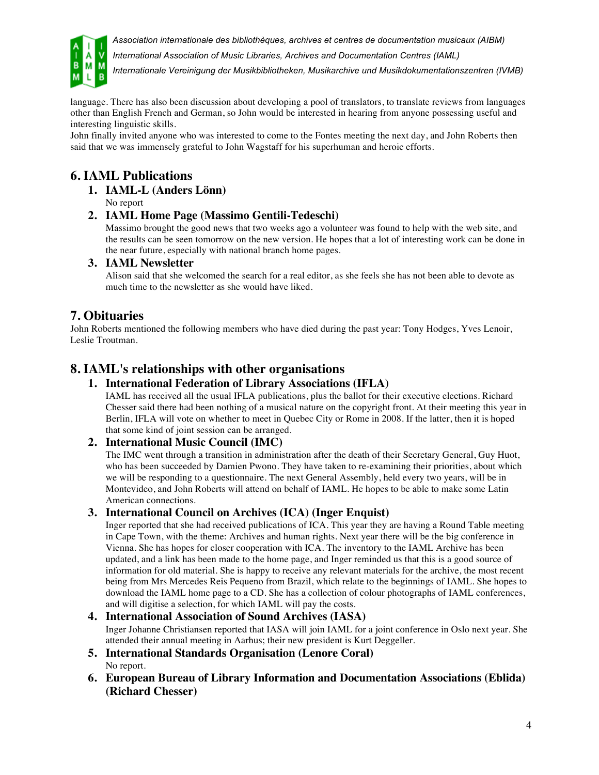



*International Association of Music Libraries, Archives and Documentation Centres (IAML)*

*Internationale Vereinigung der Musikbibliotheken, Musikarchive und Musikdokumentationszentren (IVMB)*

language. There has also been discussion about developing a pool of translators, to translate reviews from languages other than English French and German, so John would be interested in hearing from anyone possessing useful and interesting linguistic skills.

John finally invited anyone who was interested to come to the Fontes meeting the next day, and John Roberts then said that we was immensely grateful to John Wagstaff for his superhuman and heroic efforts.

# **6. IAML Publications**

**1. IAML-L (Anders Lönn)**

No report

#### **2. IAML Home Page (Massimo Gentili-Tedeschi)**

Massimo brought the good news that two weeks ago a volunteer was found to help with the web site, and the results can be seen tomorrow on the new version. He hopes that a lot of interesting work can be done in the near future, especially with national branch home pages.

#### **3. IAML Newsletter**

Alison said that she welcomed the search for a real editor, as she feels she has not been able to devote as much time to the newsletter as she would have liked.

### **7. Obituaries**

John Roberts mentioned the following members who have died during the past year: Tony Hodges, Yves Lenoir, Leslie Troutman.

## **8. IAML's relationships with other organisations**

#### **1. International Federation of Library Associations (IFLA)**

IAML has received all the usual IFLA publications, plus the ballot for their executive elections. Richard Chesser said there had been nothing of a musical nature on the copyright front. At their meeting this year in Berlin, IFLA will vote on whether to meet in Quebec City or Rome in 2008. If the latter, then it is hoped that some kind of joint session can be arranged.

#### **2. International Music Council (IMC)**

The IMC went through a transition in administration after the death of their Secretary General, Guy Huot, who has been succeeded by Damien Pwono. They have taken to re-examining their priorities, about which we will be responding to a questionnaire. The next General Assembly, held every two years, will be in Montevideo, and John Roberts will attend on behalf of IAML. He hopes to be able to make some Latin American connections.

#### **3. International Council on Archives (ICA) (Inger Enquist)**

Inger reported that she had received publications of ICA. This year they are having a Round Table meeting in Cape Town, with the theme: Archives and human rights. Next year there will be the big conference in Vienna. She has hopes for closer cooperation with ICA. The inventory to the IAML Archive has been updated, and a link has been made to the home page, and Inger reminded us that this is a good source of information for old material. She is happy to receive any relevant materials for the archive, the most recent being from Mrs Mercedes Reis Pequeno from Brazil, which relate to the beginnings of IAML. She hopes to download the IAML home page to a CD. She has a collection of colour photographs of IAML conferences, and will digitise a selection, for which IAML will pay the costs.

#### **4. International Association of Sound Archives (IASA)**

Inger Johanne Christiansen reported that IASA will join IAML for a joint conference in Oslo next year. She attended their annual meeting in Aarhus; their new president is Kurt Deggeller.

- **5. International Standards Organisation (Lenore Coral)** No report.
- **6. European Bureau of Library Information and Documentation Associations (Eblida) (Richard Chesser)**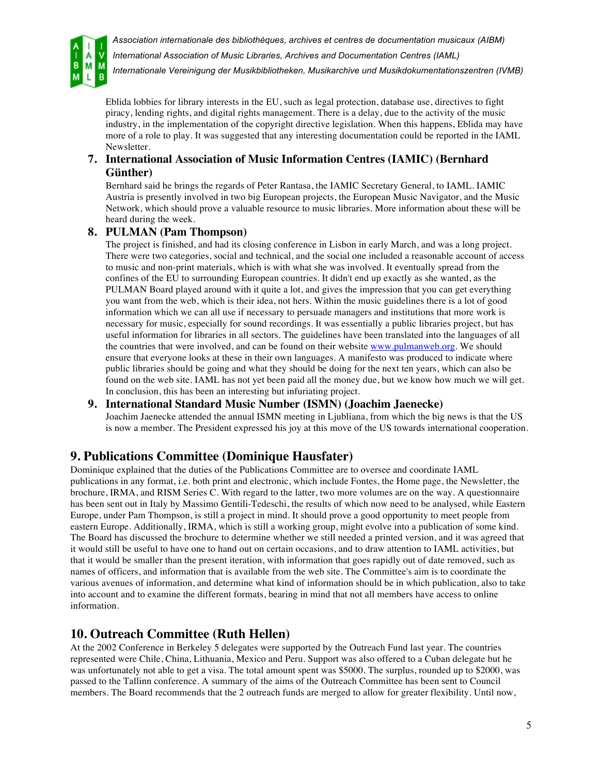



*International Association of Music Libraries, Archives and Documentation Centres (IAML)*

*Internationale Vereinigung der Musikbibliotheken, Musikarchive und Musikdokumentationszentren (IVMB)*

Eblida lobbies for library interests in the EU, such as legal protection, database use, directives to fight piracy, lending rights, and digital rights management. There is a delay, due to the activity of the music industry, in the implementation of the copyright directive legislation. When this happens, Eblida may have more of a role to play. It was suggested that any interesting documentation could be reported in the IAML Newsletter.

#### **7. International Association of Music Information Centres (IAMIC) (Bernhard Günther)**

Bernhard said he brings the regards of Peter Rantasa, the IAMIC Secretary General, to IAML. IAMIC Austria is presently involved in two big European projects, the European Music Navigator, and the Music Network, which should prove a valuable resource to music libraries. More information about these will be heard during the week.

#### **8. PULMAN (Pam Thompson)**

The project is finished, and had its closing conference in Lisbon in early March, and was a long project. There were two categories, social and technical, and the social one included a reasonable account of access to music and non-print materials, which is with what she was involved. It eventually spread from the confines of the EU to surrounding European countries. It didn't end up exactly as she wanted, as the PULMAN Board played around with it quite a lot, and gives the impression that you can get everything you want from the web, which is their idea, not hers. Within the music guidelines there is a lot of good information which we can all use if necessary to persuade managers and institutions that more work is necessary for music, especially for sound recordings. It was essentially a public libraries project, but has useful information for libraries in all sectors. The guidelines have been translated into the languages of all the countries that were involved, and can be found on their website www.pulmanweb.org. We should ensure that everyone looks at these in their own languages. A manifesto was produced to indicate where public libraries should be going and what they should be doing for the next ten years, which can also be found on the web site. IAML has not yet been paid all the money due, but we know how much we will get. In conclusion, this has been an interesting but infuriating project.

#### **9. International Standard Music Number (ISMN) (Joachim Jaenecke)**

Joachim Jaenecke attended the annual ISMN meeting in Ljubliana, from which the big news is that the US is now a member. The President expressed his joy at this move of the US towards international cooperation.

### **9. Publications Committee (Dominique Hausfater)**

Dominique explained that the duties of the Publications Committee are to oversee and coordinate IAML publications in any format, i.e. both print and electronic, which include Fontes, the Home page, the Newsletter, the brochure, IRMA, and RISM Series C. With regard to the latter, two more volumes are on the way. A questionnaire has been sent out in Italy by Massimo Gentili-Tedeschi, the results of which now need to be analysed, while Eastern Europe, under Pam Thompson, is still a project in mind. It should prove a good opportunity to meet people from eastern Europe. Additionally, IRMA, which is still a working group, might evolve into a publication of some kind. The Board has discussed the brochure to determine whether we still needed a printed version, and it was agreed that it would still be useful to have one to hand out on certain occasions, and to draw attention to IAML activities, but that it would be smaller than the present iteration, with information that goes rapidly out of date removed, such as names of officers, and information that is available from the web site. The Committee's aim is to coordinate the various avenues of information, and determine what kind of information should be in which publication, also to take into account and to examine the different formats, bearing in mind that not all members have access to online information.

### **10. Outreach Committee (Ruth Hellen)**

At the 2002 Conference in Berkeley 5 delegates were supported by the Outreach Fund last year. The countries represented were Chile, China, Lithuania, Mexico and Peru. Support was also offered to a Cuban delegate but he was unfortunately not able to get a visa. The total amount spent was \$5000. The surplus, rounded up to \$2000, was passed to the Tallinn conference. A summary of the aims of the Outreach Committee has been sent to Council members. The Board recommends that the 2 outreach funds are merged to allow for greater flexibility. Until now,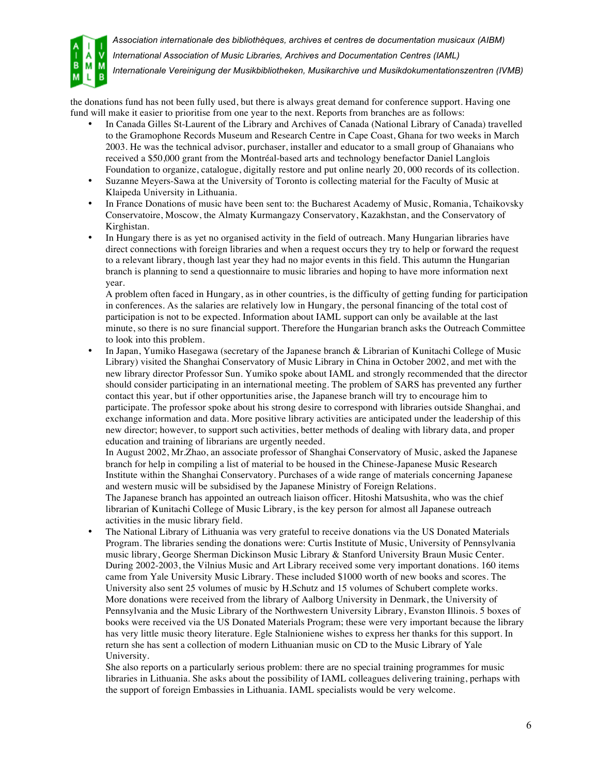

*International Association of Music Libraries, Archives and Documentation Centres (IAML)*

*Internationale Vereinigung der Musikbibliotheken, Musikarchive und Musikdokumentationszentren (IVMB)*

the donations fund has not been fully used, but there is always great demand for conference support. Having one fund will make it easier to prioritise from one year to the next. Reports from branches are as follows:

- In Canada Gilles St-Laurent of the Library and Archives of Canada (National Library of Canada) travelled to the Gramophone Records Museum and Research Centre in Cape Coast, Ghana for two weeks in March 2003. He was the technical advisor, purchaser, installer and educator to a small group of Ghanaians who received a \$50,000 grant from the Montréal-based arts and technology benefactor Daniel Langlois Foundation to organize, catalogue, digitally restore and put online nearly 20, 000 records of its collection.
- Suzanne Meyers-Sawa at the University of Toronto is collecting material for the Faculty of Music at Klaipeda University in Lithuania.
- In France Donations of music have been sent to: the Bucharest Academy of Music, Romania, Tchaikovsky Conservatoire, Moscow, the Almaty Kurmangazy Conservatory, Kazakhstan, and the Conservatory of Kirghistan.
- In Hungary there is as yet no organised activity in the field of outreach. Many Hungarian libraries have direct connections with foreign libraries and when a request occurs they try to help or forward the request to a relevant library, though last year they had no major events in this field. This autumn the Hungarian branch is planning to send a questionnaire to music libraries and hoping to have more information next year.

A problem often faced in Hungary, as in other countries, is the difficulty of getting funding for participation in conferences. As the salaries are relatively low in Hungary, the personal financing of the total cost of participation is not to be expected. Information about IAML support can only be available at the last minute, so there is no sure financial support. Therefore the Hungarian branch asks the Outreach Committee to look into this problem.

• In Japan, Yumiko Hasegawa (secretary of the Japanese branch & Librarian of Kunitachi College of Music Library) visited the Shanghai Conservatory of Music Library in China in October 2002, and met with the new library director Professor Sun. Yumiko spoke about IAML and strongly recommended that the director should consider participating in an international meeting. The problem of SARS has prevented any further contact this year, but if other opportunities arise, the Japanese branch will try to encourage him to participate. The professor spoke about his strong desire to correspond with libraries outside Shanghai, and exchange information and data. More positive library activities are anticipated under the leadership of this new director; however, to support such activities, better methods of dealing with library data, and proper education and training of librarians are urgently needed.

In August 2002, Mr.Zhao, an associate professor of Shanghai Conservatory of Music, asked the Japanese branch for help in compiling a list of material to be housed in the Chinese-Japanese Music Research Institute within the Shanghai Conservatory. Purchases of a wide range of materials concerning Japanese and western music will be subsidised by the Japanese Ministry of Foreign Relations.

The Japanese branch has appointed an outreach liaison officer. Hitoshi Matsushita, who was the chief librarian of Kunitachi College of Music Library, is the key person for almost all Japanese outreach activities in the music library field.

• The National Library of Lithuania was very grateful to receive donations via the US Donated Materials Program. The libraries sending the donations were: Curtis Institute of Music, University of Pennsylvania music library, George Sherman Dickinson Music Library & Stanford University Braun Music Center. During 2002-2003, the Vilnius Music and Art Library received some very important donations. 160 items came from Yale University Music Library. These included \$1000 worth of new books and scores. The University also sent 25 volumes of music by H.Schutz and 15 volumes of Schubert complete works. More donations were received from the library of Aalborg University in Denmark, the University of Pennsylvania and the Music Library of the Northwestern University Library, Evanston Illinois. 5 boxes of books were received via the US Donated Materials Program; these were very important because the library has very little music theory literature. Egle Stalnioniene wishes to express her thanks for this support. In return she has sent a collection of modern Lithuanian music on CD to the Music Library of Yale University.

She also reports on a particularly serious problem: there are no special training programmes for music libraries in Lithuania. She asks about the possibility of IAML colleagues delivering training, perhaps with the support of foreign Embassies in Lithuania. IAML specialists would be very welcome.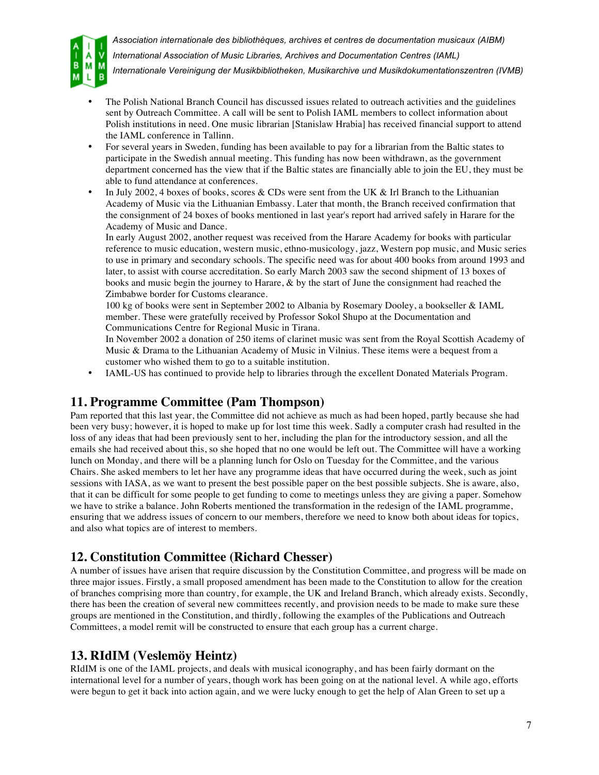

*Association internationale des bibliothèques, archives et centres de documentation musicaux (AIBM) International Association of Music Libraries, Archives and Documentation Centres (IAML)*

- *Internationale Vereinigung der Musikbibliotheken, Musikarchive und Musikdokumentationszentren (IVMB)*
- The Polish National Branch Council has discussed issues related to outreach activities and the guidelines sent by Outreach Committee. A call will be sent to Polish IAML members to collect information about Polish institutions in need. One music librarian [Stanislaw Hrabia] has received financial support to attend the IAML conference in Tallinn.
- For several years in Sweden, funding has been available to pay for a librarian from the Baltic states to participate in the Swedish annual meeting. This funding has now been withdrawn, as the government department concerned has the view that if the Baltic states are financially able to join the EU, they must be able to fund attendance at conferences.
- In July 2002, 4 boxes of books, scores & CDs were sent from the UK & Irl Branch to the Lithuanian Academy of Music via the Lithuanian Embassy. Later that month, the Branch received confirmation that the consignment of 24 boxes of books mentioned in last year's report had arrived safely in Harare for the Academy of Music and Dance.

In early August 2002, another request was received from the Harare Academy for books with particular reference to music education, western music, ethno-musicology, jazz, Western pop music, and Music series to use in primary and secondary schools. The specific need was for about 400 books from around 1993 and later, to assist with course accreditation. So early March 2003 saw the second shipment of 13 boxes of books and music begin the journey to Harare, & by the start of June the consignment had reached the Zimbabwe border for Customs clearance.

100 kg of books were sent in September 2002 to Albania by Rosemary Dooley, a bookseller & IAML member. These were gratefully received by Professor Sokol Shupo at the Documentation and Communications Centre for Regional Music in Tirana.

In November 2002 a donation of 250 items of clarinet music was sent from the Royal Scottish Academy of Music & Drama to the Lithuanian Academy of Music in Vilnius. These items were a bequest from a customer who wished them to go to a suitable institution.

• IAML-US has continued to provide help to libraries through the excellent Donated Materials Program.

## **11. Programme Committee (Pam Thompson)**

Pam reported that this last year, the Committee did not achieve as much as had been hoped, partly because she had been very busy; however, it is hoped to make up for lost time this week. Sadly a computer crash had resulted in the loss of any ideas that had been previously sent to her, including the plan for the introductory session, and all the emails she had received about this, so she hoped that no one would be left out. The Committee will have a working lunch on Monday, and there will be a planning lunch for Oslo on Tuesday for the Committee, and the various Chairs. She asked members to let her have any programme ideas that have occurred during the week, such as joint sessions with IASA, as we want to present the best possible paper on the best possible subjects. She is aware, also, that it can be difficult for some people to get funding to come to meetings unless they are giving a paper. Somehow we have to strike a balance. John Roberts mentioned the transformation in the redesign of the IAML programme, ensuring that we address issues of concern to our members, therefore we need to know both about ideas for topics, and also what topics are of interest to members.

## **12. Constitution Committee (Richard Chesser)**

A number of issues have arisen that require discussion by the Constitution Committee, and progress will be made on three major issues. Firstly, a small proposed amendment has been made to the Constitution to allow for the creation of branches comprising more than country, for example, the UK and Ireland Branch, which already exists. Secondly, there has been the creation of several new committees recently, and provision needs to be made to make sure these groups are mentioned in the Constitution, and thirdly, following the examples of the Publications and Outreach Committees, a model remit will be constructed to ensure that each group has a current charge.

## **13. RIdIM (Veslemöy Heintz)**

RIdIM is one of the IAML projects, and deals with musical iconography, and has been fairly dormant on the international level for a number of years, though work has been going on at the national level. A while ago, efforts were begun to get it back into action again, and we were lucky enough to get the help of Alan Green to set up a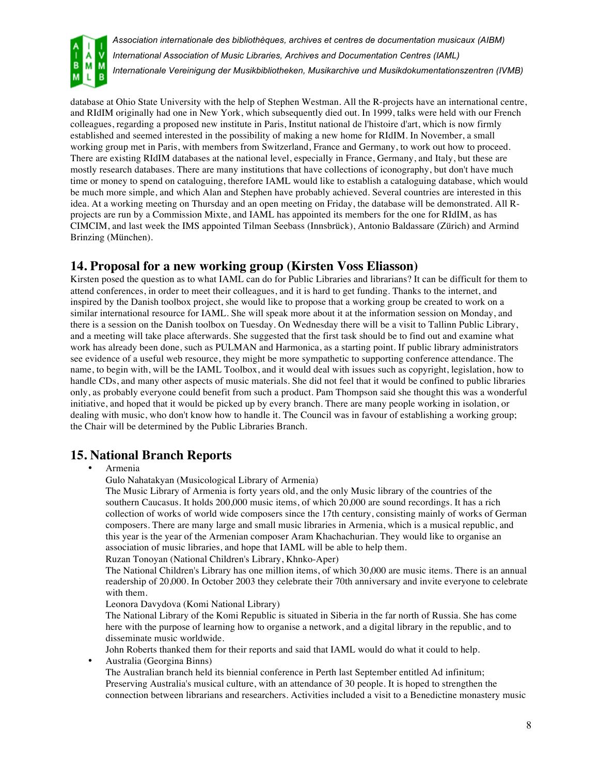

database at Ohio State University with the help of Stephen Westman. All the R-projects have an international centre, and RIdIM originally had one in New York, which subsequently died out. In 1999, talks were held with our French colleagues, regarding a proposed new institute in Paris, Institut national de l'histoire d'art, which is now firmly established and seemed interested in the possibility of making a new home for RIdIM. In November, a small working group met in Paris, with members from Switzerland, France and Germany, to work out how to proceed. There are existing RIdIM databases at the national level, especially in France, Germany, and Italy, but these are mostly research databases. There are many institutions that have collections of iconography, but don't have much time or money to spend on cataloguing, therefore IAML would like to establish a cataloguing database, which would be much more simple, and which Alan and Stephen have probably achieved. Several countries are interested in this idea. At a working meeting on Thursday and an open meeting on Friday, the database will be demonstrated. All Rprojects are run by a Commission Mixte, and IAML has appointed its members for the one for RIdIM, as has CIMCIM, and last week the IMS appointed Tilman Seebass (Innsbrück), Antonio Baldassare (Zürich) and Armind Brinzing (München).

## **14. Proposal for a new working group (Kirsten Voss Eliasson)**

Kirsten posed the question as to what IAML can do for Public Libraries and librarians? It can be difficult for them to attend conferences, in order to meet their colleagues, and it is hard to get funding. Thanks to the internet, and inspired by the Danish toolbox project, she would like to propose that a working group be created to work on a similar international resource for IAML. She will speak more about it at the information session on Monday, and there is a session on the Danish toolbox on Tuesday. On Wednesday there will be a visit to Tallinn Public Library, and a meeting will take place afterwards. She suggested that the first task should be to find out and examine what work has already been done, such as PULMAN and Harmonica, as a starting point. If public library administrators see evidence of a useful web resource, they might be more sympathetic to supporting conference attendance. The name, to begin with, will be the IAML Toolbox, and it would deal with issues such as copyright, legislation, how to handle CDs, and many other aspects of music materials. She did not feel that it would be confined to public libraries only, as probably everyone could benefit from such a product. Pam Thompson said she thought this was a wonderful initiative, and hoped that it would be picked up by every branch. There are many people working in isolation, or dealing with music, who don't know how to handle it. The Council was in favour of establishing a working group; the Chair will be determined by the Public Libraries Branch.

## **15. National Branch Reports**

• Armenia

Gulo Nahatakyan (Musicological Library of Armenia)

The Music Library of Armenia is forty years old, and the only Music library of the countries of the southern Caucasus. It holds 200,000 music items, of which 20,000 are sound recordings. It has a rich collection of works of world wide composers since the 17th century, consisting mainly of works of German composers. There are many large and small music libraries in Armenia, which is a musical republic, and this year is the year of the Armenian composer Aram Khachachurian. They would like to organise an association of music libraries, and hope that IAML will be able to help them.

Ruzan Tonoyan (National Children's Library, Khnko-Aper)

The National Children's Library has one million items, of which 30,000 are music items. There is an annual readership of 20,000. In October 2003 they celebrate their 70th anniversary and invite everyone to celebrate with them.

Leonora Davydova (Komi National Library)

The National Library of the Komi Republic is situated in Siberia in the far north of Russia. She has come here with the purpose of learning how to organise a network, and a digital library in the republic, and to disseminate music worldwide.

John Roberts thanked them for their reports and said that IAML would do what it could to help.

• Australia (Georgina Binns)

The Australian branch held its biennial conference in Perth last September entitled Ad infinitum; Preserving Australia's musical culture, with an attendance of 30 people. It is hoped to strengthen the connection between librarians and researchers. Activities included a visit to a Benedictine monastery music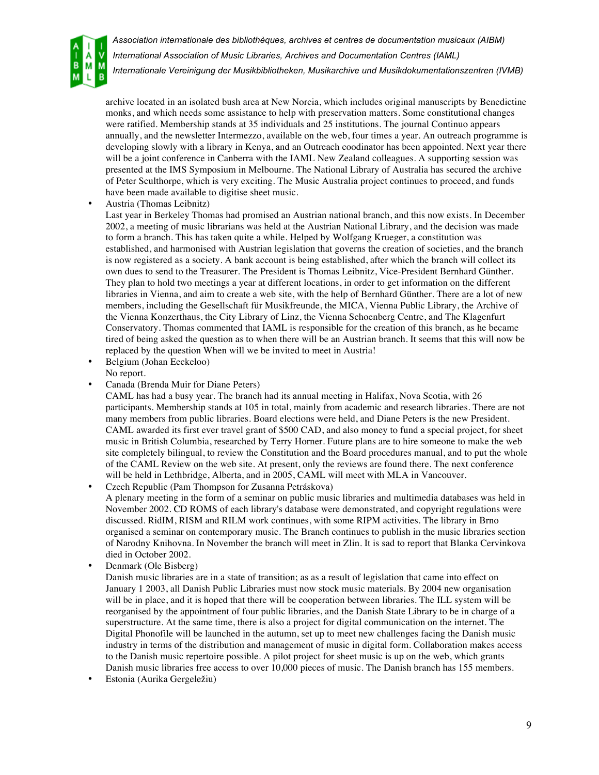

*International Association of Music Libraries, Archives and Documentation Centres (IAML)*

*Internationale Vereinigung der Musikbibliotheken, Musikarchive und Musikdokumentationszentren (IVMB)*

archive located in an isolated bush area at New Norcia, which includes original manuscripts by Benedictine monks, and which needs some assistance to help with preservation matters. Some constitutional changes were ratified. Membership stands at 35 individuals and 25 institutions. The journal Continuo appears annually, and the newsletter Intermezzo, available on the web, four times a year. An outreach programme is developing slowly with a library in Kenya, and an Outreach coodinator has been appointed. Next year there will be a joint conference in Canberra with the IAML New Zealand colleagues. A supporting session was presented at the IMS Symposium in Melbourne. The National Library of Australia has secured the archive of Peter Sculthorpe, which is very exciting. The Music Australia project continues to proceed, and funds have been made available to digitise sheet music.

• Austria (Thomas Leibnitz)

Last year in Berkeley Thomas had promised an Austrian national branch, and this now exists. In December 2002, a meeting of music librarians was held at the Austrian National Library, and the decision was made to form a branch. This has taken quite a while. Helped by Wolfgang Krueger, a constitution was established, and harmonised with Austrian legislation that governs the creation of societies, and the branch is now registered as a society. A bank account is being established, after which the branch will collect its own dues to send to the Treasurer. The President is Thomas Leibnitz, Vice-President Bernhard Günther. They plan to hold two meetings a year at different locations, in order to get information on the different libraries in Vienna, and aim to create a web site, with the help of Bernhard Günther. There are a lot of new members, including the Gesellschaft für Musikfreunde, the MICA, Vienna Public Library, the Archive of the Vienna Konzerthaus, the City Library of Linz, the Vienna Schoenberg Centre, and The Klagenfurt Conservatory. Thomas commented that IAML is responsible for the creation of this branch, as he became tired of being asked the question as to when there will be an Austrian branch. It seems that this will now be replaced by the question When will we be invited to meet in Austria!

- Belgium (Johan Eeckeloo) No report.
- Canada (Brenda Muir for Diane Peters)

CAML has had a busy year. The branch had its annual meeting in Halifax, Nova Scotia, with 26 participants. Membership stands at 105 in total, mainly from academic and research libraries. There are not many members from public libraries. Board elections were held, and Diane Peters is the new President. CAML awarded its first ever travel grant of \$500 CAD, and also money to fund a special project, for sheet music in British Columbia, researched by Terry Horner. Future plans are to hire someone to make the web site completely bilingual, to review the Constitution and the Board procedures manual, and to put the whole of the CAML Review on the web site. At present, only the reviews are found there. The next conference will be held in Lethbridge, Alberta, and in 2005, CAML will meet with MLA in Vancouver.

• Czech Republic (Pam Thompson for Zusanna Petráskova) A plenary meeting in the form of a seminar on public music libraries and multimedia databases was held in November 2002. CD ROMS of each library's database were demonstrated, and copyright regulations were discussed. RidIM, RISM and RILM work continues, with some RIPM activities. The library in Brno organised a seminar on contemporary music. The Branch continues to publish in the music libraries section of Narodny Knihovna. In November the branch will meet in Zlin. It is sad to report that Blanka Cervinkova died in October 2002.

• Denmark (Ole Bisberg)

Danish music libraries are in a state of transition; as as a result of legislation that came into effect on January 1 2003, all Danish Public Libraries must now stock music materials. By 2004 new organisation will be in place, and it is hoped that there will be cooperation between libraries. The ILL system will be reorganised by the appointment of four public libraries, and the Danish State Library to be in charge of a superstructure. At the same time, there is also a project for digital communication on the internet. The Digital Phonofile will be launched in the autumn, set up to meet new challenges facing the Danish music industry in terms of the distribution and management of music in digital form. Collaboration makes access to the Danish music repertoire possible. A pilot project for sheet music is up on the web, which grants Danish music libraries free access to over 10,000 pieces of music. The Danish branch has 155 members.

• Estonia (Aurika Gergeležiu)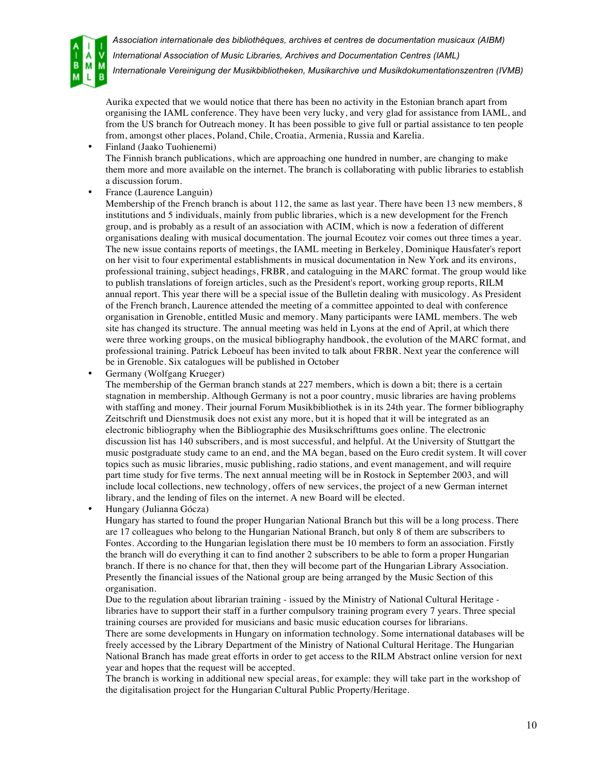

*International Association of Music Libraries, Archives and Documentation Centres (IAML)*

*Internationale Vereinigung der Musikbibliotheken, Musikarchive und Musikdokumentationszentren (IVMB)*

Aurika expected that we would notice that there has been no activity in the Estonian branch apart from organising the IAML conference. They have been very lucky, and very glad for assistance from IAML, and from the US branch for Outreach money. It has been possible to give full or partial assistance to ten people from, amongst other places, Poland, Chile, Croatia, Armenia, Russia and Karelia.

- Finland (Jaako Tuohienemi) The Finnish branch publications, which are approaching one hundred in number, are changing to make them more and more available on the internet. The branch is collaborating with public libraries to establish a discussion forum.
- France (Laurence Languin)

Membership of the French branch is about 112, the same as last year. There have been 13 new members, 8 institutions and 5 individuals, mainly from public libraries, which is a new development for the French group, and is probably as a result of an association with ACIM, which is now a federation of different organisations dealing with musical documentation. The journal Ecoutez voir comes out three times a year. The new issue contains reports of meetings, the IAML meeting in Berkeley, Dominique Hausfater's report on her visit to four experimental establishments in musical documentation in New York and its environs, professional training, subject headings, FRBR, and cataloguing in the MARC format. The group would like to publish translations of foreign articles, such as the President's report, working group reports, RILM annual report. This year there will be a special issue of the Bulletin dealing with musicology. As President of the French branch, Laurence attended the meeting of a committee appointed to deal with conference organisation in Grenoble, entitled Music and memory. Many participants were IAML members. The web site has changed its structure. The annual meeting was held in Lyons at the end of April, at which there were three working groups, on the musical bibliography handbook, the evolution of the MARC format, and professional training. Patrick Leboeuf has been invited to talk about FRBR. Next year the conference will be in Grenoble. Six catalogues will be published in October

• Germany (Wolfgang Krueger)

The membership of the German branch stands at 227 members, which is down a bit; there is a certain stagnation in membership. Although Germany is not a poor country, music libraries are having problems with staffing and money. Their journal Forum Musikbibliothek is in its 24th year. The former bibliography Zeitschrift und Dienstmusik does not exist any more, but it is hoped that it will be integrated as an electronic bibliography when the Bibliographie des Musikschrifttums goes online. The electronic discussion list has 140 subscribers, and is most successful, and helpful. At the University of Stuttgart the music postgraduate study came to an end, and the MA began, based on the Euro credit system. It will cover topics such as music libraries, music publishing, radio stations, and event management, and will require part time study for five terms. The next annual meeting will be in Rostock in September 2003, and will include local collections, new technology, offers of new services, the project of a new German internet library, and the lending of files on the internet. A new Board will be elected.

• Hungary (Julianna Gócza)

Hungary has started to found the proper Hungarian National Branch but this will be a long process. There are 17 colleagues who belong to the Hungarian National Branch, but only 8 of them are subscribers to Fontes. According to the Hungarian legislation there must be 10 members to form an association. Firstly the branch will do everything it can to find another 2 subscribers to be able to form a proper Hungarian branch. If there is no chance for that, then they will become part of the Hungarian Library Association. Presently the financial issues of the National group are being arranged by the Music Section of this organisation.

Due to the regulation about librarian training - issued by the Ministry of National Cultural Heritage libraries have to support their staff in a further compulsory training program every 7 years. Three special training courses are provided for musicians and basic music education courses for librarians.

There are some developments in Hungary on information technology. Some international databases will be freely accessed by the Library Department of the Ministry of National Cultural Heritage. The Hungarian National Branch has made great efforts in order to get access to the RILM Abstract online version for next year and hopes that the request will be accepted.

The branch is working in additional new special areas, for example: they will take part in the workshop of the digitalisation project for the Hungarian Cultural Public Property/Heritage.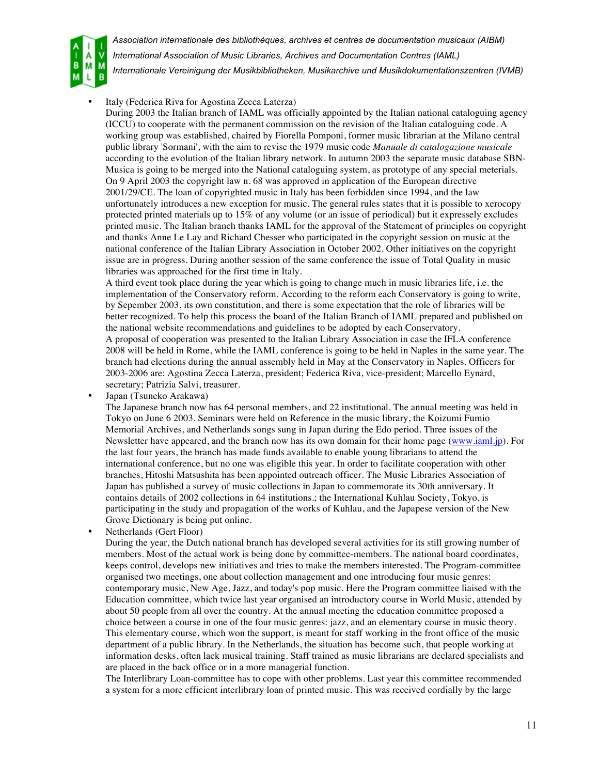

Italy (Federica Riva for Agostina Zecca Laterza)

During 2003 the Italian branch of IAML was officially appointed by the Italian national cataloguing agency (ICCU) to cooperate with the permanent commission on the revision of the Italian cataloguing code. A working group was established, chaired by Fiorella Pomponi, former music librarian at the Milano central public library 'Sormani', with the aim to revise the 1979 music code *Manuale di catalogazione musicale*  according to the evolution of the Italian library network. In autumn 2003 the separate music database SBN-Musica is going to be merged into the National cataloguing system, as prototype of any special meterials. On 9 April 2003 the copyright law n. 68 was approved in application of the European directive 2001/29/CE. The loan of copyrighted music in Italy has been forbidden since 1994, and the law unfortunately introduces a new exception for music. The general rules states that it is possible to xerocopy protected printed materials up to 15% of any volume (or an issue of periodical) but it expressely excludes printed music. The Italian branch thanks IAML for the approval of the Statement of principles on copyright and thanks Anne Le Lay and Richard Chesser who participated in the copyright session on music at the national conference of the Italian Library Association in October 2002. Other initiatives on the copyright issue are in progress. During another session of the same conference the issue of Total Quality in music libraries was approached for the first time in Italy.

A third event took place during the year which is going to change much in music libraries life, i.e. the implementation of the Conservatory reform. According to the reform each Conservatory is going to write, by Sepember 2003, its own constitution, and there is some expectation that the role of libraries will be better recognized. To help this process the board of the Italian Branch of IAML prepared and published on the national website recommendations and guidelines to be adopted by each Conservatory.

A proposal of cooperation was presented to the Italian Library Association in case the IFLA conference 2008 will be held in Rome, while the IAML conference is going to be held in Naples in the same year. The branch had elections during the annual assembly held in May at the Conservatory in Naples. Officers for 2003-2006 are: Agostina Zecca Laterza, president; Federica Riva, vice-president; Marcello Eynard, secretary; Patrizia Salvi, treasurer.

• Japan (Tsuneko Arakawa)

The Japanese branch now has 64 personal members, and 22 institutional. The annual meeting was held in Tokyo on June 6 2003. Seminars were held on Reference in the music library, the Koizumi Fumio Memorial Archives, and Netherlands songs sung in Japan during the Edo period. Three issues of the Newsletter have appeared, and the branch now has its own domain for their home page (www.iaml.jp). For the last four years, the branch has made funds available to enable young librarians to attend the international conference, but no one was eligible this year. In order to facilitate cooperation with other branches, Hitoshi Matsushita has been appointed outreach officer. The Music Libraries Association of Japan has published a survey of music collections in Japan to commemorate its 30th anniversary. It contains details of 2002 collections in 64 institutions.; the International Kuhlau Society, Tokyo, is participating in the study and propagation of the works of Kuhlau, and the Japapese version of the New Grove Dictionary is being put online.

• Netherlands (Gert Floor)

During the year, the Dutch national branch has developed several activities for its still growing number of members. Most of the actual work is being done by committee-members. The national board coordinates, keeps control, develops new initiatives and tries to make the members interested. The Program-committee organised two meetings, one about collection management and one introducing four music genres: contemporary music, New Age, Jazz, and today's pop music. Here the Program committee liaised with the Education committee, which twice last year organised an introductory course in World Music, attended by about 50 people from all over the country. At the annual meeting the education committee proposed a choice between a course in one of the four music genres: jazz, and an elementary course in music theory. This elementary course, which won the support, is meant for staff working in the front office of the music department of a public library. In the Netherlands, the situation has become such, that people working at information desks, often lack musical training. Staff trained as music librarians are declared specialists and are placed in the back office or in a more managerial function.

The Interlibrary Loan-committee has to cope with other problems. Last year this committee recommended a system for a more efficient interlibrary loan of printed music. This was received cordially by the large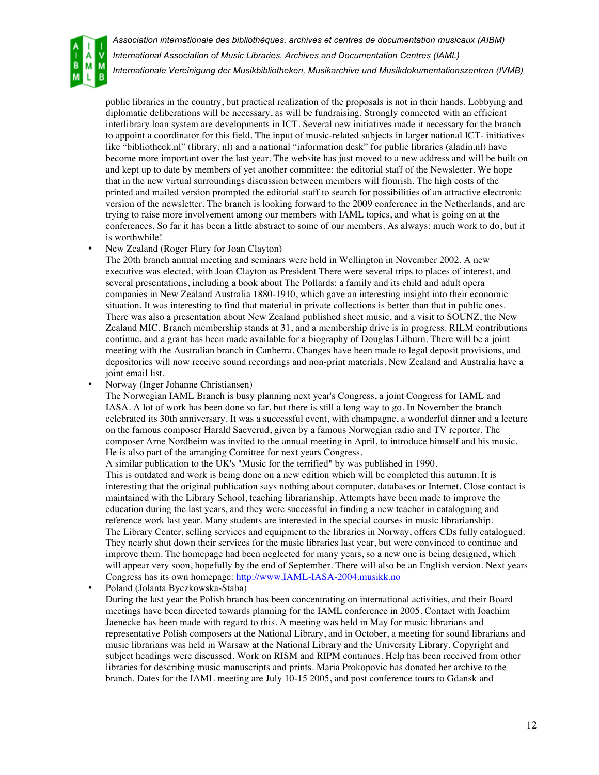

public libraries in the country, but practical realization of the proposals is not in their hands. Lobbying and diplomatic deliberations will be necessary, as will be fundraising. Strongly connected with an efficient interlibrary loan system are developments in ICT. Several new initiatives made it necessary for the branch to appoint a coordinator for this field. The input of music-related subjects in larger national ICT- initiatives like "bibliotheek.nl" (library. nl) and a national "information desk" for public libraries (aladin.nl) have become more important over the last year. The website has just moved to a new address and will be built on and kept up to date by members of yet another committee: the editorial staff of the Newsletter. We hope that in the new virtual surroundings discussion between members will flourish. The high costs of the printed and mailed version prompted the editorial staff to search for possibilities of an attractive electronic version of the newsletter. The branch is looking forward to the 2009 conference in the Netherlands, and are trying to raise more involvement among our members with IAML topics, and what is going on at the conferences. So far it has been a little abstract to some of our members. As always: much work to do, but it is worthwhile!

• New Zealand (Roger Flury for Joan Clayton)

The 20th branch annual meeting and seminars were held in Wellington in November 2002. A new executive was elected, with Joan Clayton as President There were several trips to places of interest, and several presentations, including a book about The Pollards: a family and its child and adult opera companies in New Zealand Australia 1880-1910, which gave an interesting insight into their economic situation. It was interesting to find that material in private collections is better than that in public ones. There was also a presentation about New Zealand published sheet music, and a visit to SOUNZ, the New Zealand MIC. Branch membership stands at 31, and a membership drive is in progress. RILM contributions continue, and a grant has been made available for a biography of Douglas Lilburn. There will be a joint meeting with the Australian branch in Canberra. Changes have been made to legal deposit provisions, and depositories will now receive sound recordings and non-print materials. New Zealand and Australia have a joint email list.

• Norway (Inger Johanne Christiansen)

The Norwegian IAML Branch is busy planning next year's Congress, a joint Congress for IAML and IASA. A lot of work has been done so far, but there is still a long way to go. In November the branch celebrated its 30th anniversary. It was a successful event, with champagne, a wonderful dinner and a lecture on the famous composer Harald Saeverud, given by a famous Norwegian radio and TV reporter. The composer Arne Nordheim was invited to the annual meeting in April, to introduce himself and his music. He is also part of the arranging Comittee for next years Congress.

A similar publication to the UK's "Music for the terrified" by was published in 1990.

This is outdated and work is being done on a new edition which will be completed this autumn. It is interesting that the original publication says nothing about computer, databases or Internet. Close contact is maintained with the Library School, teaching librarianship. Attempts have been made to improve the education during the last years, and they were successful in finding a new teacher in cataloguing and reference work last year. Many students are interested in the special courses in music librarianship. The Library Center, selling services and equipment to the libraries in Norway, offers CDs fully catalogued. They nearly shut down their services for the music libraries last year, but were convinced to continue and improve them. The homepage had been neglected for many years, so a new one is being designed, which will appear very soon, hopefully by the end of September. There will also be an English version. Next years Congress has its own homepage: http://www.IAML-IASA-2004.musikk.no

• Poland (Jolanta Byczkowska-Staba)

During the last year the Polish branch has been concentrating on international activities, and their Board meetings have been directed towards planning for the IAML conference in 2005. Contact with Joachim Jaenecke has been made with regard to this. A meeting was held in May for music librarians and representative Polish composers at the National Library, and in October, a meeting for sound librarians and music librarians was held in Warsaw at the National Library and the University Library. Copyright and subject headings were discussed. Work on RISM and RIPM continues. Help has been received from other libraries for describing music manuscripts and prints. Maria Prokopovic has donated her archive to the branch. Dates for the IAML meeting are July 10-15 2005, and post conference tours to Gdansk and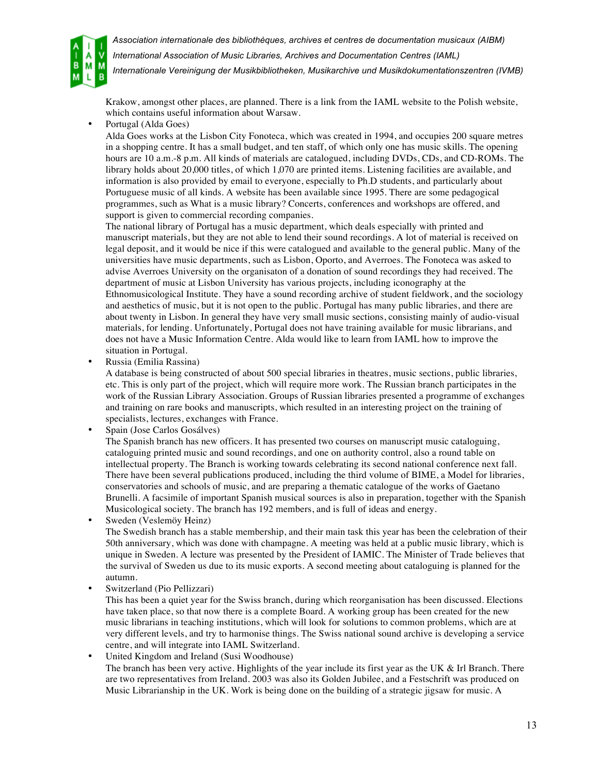

*International Association of Music Libraries, Archives and Documentation Centres (IAML)*

*Internationale Vereinigung der Musikbibliotheken, Musikarchive und Musikdokumentationszentren (IVMB)*

Krakow, amongst other places, are planned. There is a link from the IAML website to the Polish website, which contains useful information about Warsaw.

• Portugal (Alda Goes)

Alda Goes works at the Lisbon City Fonoteca, which was created in 1994, and occupies 200 square metres in a shopping centre. It has a small budget, and ten staff, of which only one has music skills. The opening hours are 10 a.m.-8 p.m. All kinds of materials are catalogued, including DVDs, CDs, and CD-ROMs. The library holds about 20,000 titles, of which 1,070 are printed items. Listening facilities are available, and information is also provided by email to everyone, especially to Ph.D students, and particularly about Portuguese music of all kinds. A website has been available since 1995. There are some pedagogical programmes, such as What is a music library? Concerts, conferences and workshops are offered, and support is given to commercial recording companies.

The national library of Portugal has a music department, which deals especially with printed and manuscript materials, but they are not able to lend their sound recordings. A lot of material is received on legal deposit, and it would be nice if this were catalogued and available to the general public. Many of the universities have music departments, such as Lisbon, Oporto, and Averroes. The Fonoteca was asked to advise Averroes University on the organisaton of a donation of sound recordings they had received. The department of music at Lisbon University has various projects, including iconography at the Ethnomusicological Institute. They have a sound recording archive of student fieldwork, and the sociology and aesthetics of music, but it is not open to the public. Portugal has many public libraries, and there are about twenty in Lisbon. In general they have very small music sections, consisting mainly of audio-visual materials, for lending. Unfortunately, Portugal does not have training available for music librarians, and does not have a Music Information Centre. Alda would like to learn from IAML how to improve the situation in Portugal.

• Russia (Emilia Rassina)

A database is being constructed of about 500 special libraries in theatres, music sections, public libraries, etc. This is only part of the project, which will require more work. The Russian branch participates in the work of the Russian Library Association. Groups of Russian libraries presented a programme of exchanges and training on rare books and manuscripts, which resulted in an interesting project on the training of specialists, lectures, exchanges with France.

• Spain (Jose Carlos Gosálves)

The Spanish branch has new officers. It has presented two courses on manuscript music cataloguing, cataloguing printed music and sound recordings, and one on authority control, also a round table on intellectual property. The Branch is working towards celebrating its second national conference next fall. There have been several publications produced, including the third volume of BIME, a Model for libraries, conservatories and schools of music, and are preparing a thematic catalogue of the works of Gaetano Brunelli. A facsimile of important Spanish musical sources is also in preparation, together with the Spanish Musicological society. The branch has 192 members, and is full of ideas and energy.

• Sweden (Veslemöy Heinz)

The Swedish branch has a stable membership, and their main task this year has been the celebration of their 50th anniversary, which was done with champagne. A meeting was held at a public music library, which is unique in Sweden. A lecture was presented by the President of IAMIC. The Minister of Trade believes that the survival of Sweden us due to its music exports. A second meeting about cataloguing is planned for the autumn.

• Switzerland (Pio Pellizzari)

This has been a quiet year for the Swiss branch, during which reorganisation has been discussed. Elections have taken place, so that now there is a complete Board. A working group has been created for the new music librarians in teaching institutions, which will look for solutions to common problems, which are at very different levels, and try to harmonise things. The Swiss national sound archive is developing a service centre, and will integrate into IAML Switzerland.

• United Kingdom and Ireland (Susi Woodhouse)

The branch has been very active. Highlights of the year include its first year as the UK & Irl Branch. There are two representatives from Ireland. 2003 was also its Golden Jubilee, and a Festschrift was produced on Music Librarianship in the UK. Work is being done on the building of a strategic jigsaw for music. A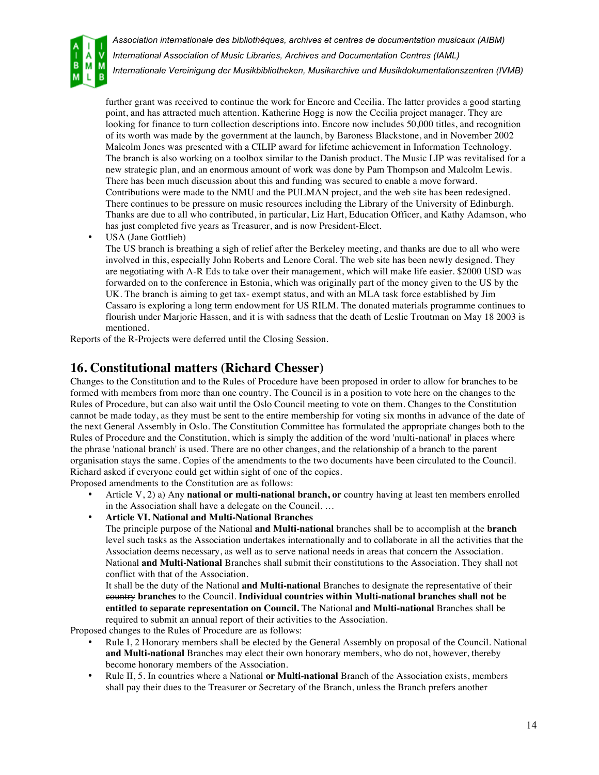

further grant was received to continue the work for Encore and Cecilia. The latter provides a good starting point, and has attracted much attention. Katherine Hogg is now the Cecilia project manager. They are looking for finance to turn collection descriptions into. Encore now includes 50,000 titles, and recognition of its worth was made by the government at the launch, by Baroness Blackstone, and in November 2002 Malcolm Jones was presented with a CILIP award for lifetime achievement in Information Technology. The branch is also working on a toolbox similar to the Danish product. The Music LIP was revitalised for a new strategic plan, and an enormous amount of work was done by Pam Thompson and Malcolm Lewis. There has been much discussion about this and funding was secured to enable a move forward. Contributions were made to the NMU and the PULMAN project, and the web site has been redesigned. There continues to be pressure on music resources including the Library of the University of Edinburgh. Thanks are due to all who contributed, in particular, Liz Hart, Education Officer, and Kathy Adamson, who has just completed five years as Treasurer, and is now President-Elect.

• USA (Jane Gottlieb)

The US branch is breathing a sigh of relief after the Berkeley meeting, and thanks are due to all who were involved in this, especially John Roberts and Lenore Coral. The web site has been newly designed. They are negotiating with A-R Eds to take over their management, which will make life easier. \$2000 USD was forwarded on to the conference in Estonia, which was originally part of the money given to the US by the UK. The branch is aiming to get tax- exempt status, and with an MLA task force established by Jim Cassaro is exploring a long term endowment for US RILM. The donated materials programme continues to flourish under Marjorie Hassen, and it is with sadness that the death of Leslie Troutman on May 18 2003 is mentioned.

Reports of the R-Projects were deferred until the Closing Session.

## **16. Constitutional matters (Richard Chesser)**

Changes to the Constitution and to the Rules of Procedure have been proposed in order to allow for branches to be formed with members from more than one country. The Council is in a position to vote here on the changes to the Rules of Procedure, but can also wait until the Oslo Council meeting to vote on them. Changes to the Constitution cannot be made today, as they must be sent to the entire membership for voting six months in advance of the date of the next General Assembly in Oslo. The Constitution Committee has formulated the appropriate changes both to the Rules of Procedure and the Constitution, which is simply the addition of the word 'multi-national' in places where the phrase 'national branch' is used. There are no other changes, and the relationship of a branch to the parent organisation stays the same. Copies of the amendments to the two documents have been circulated to the Council. Richard asked if everyone could get within sight of one of the copies.

Proposed amendments to the Constitution are as follows:

- Article V, 2) a) Any **national or multi-national branch, or** country having at least ten members enrolled in the Association shall have a delegate on the Council. …
- **Article VI. National and Multi-National Branches**

The principle purpose of the National **and Multi-national** branches shall be to accomplish at the **branch** level such tasks as the Association undertakes internationally and to collaborate in all the activities that the Association deems necessary, as well as to serve national needs in areas that concern the Association. National **and Multi-National** Branches shall submit their constitutions to the Association. They shall not conflict with that of the Association.

It shall be the duty of the National **and Multi-national** Branches to designate the representative of their country **branches** to the Council. **Individual countries within Multi-national branches shall not be entitled to separate representation on Council.** The National **and Multi-national** Branches shall be required to submit an annual report of their activities to the Association.

Proposed changes to the Rules of Procedure are as follows:

- Rule I, 2 Honorary members shall be elected by the General Assembly on proposal of the Council. National **and Multi-national** Branches may elect their own honorary members, who do not, however, thereby become honorary members of the Association.
- Rule II, 5. In countries where a National **or Multi-national** Branch of the Association exists, members shall pay their dues to the Treasurer or Secretary of the Branch, unless the Branch prefers another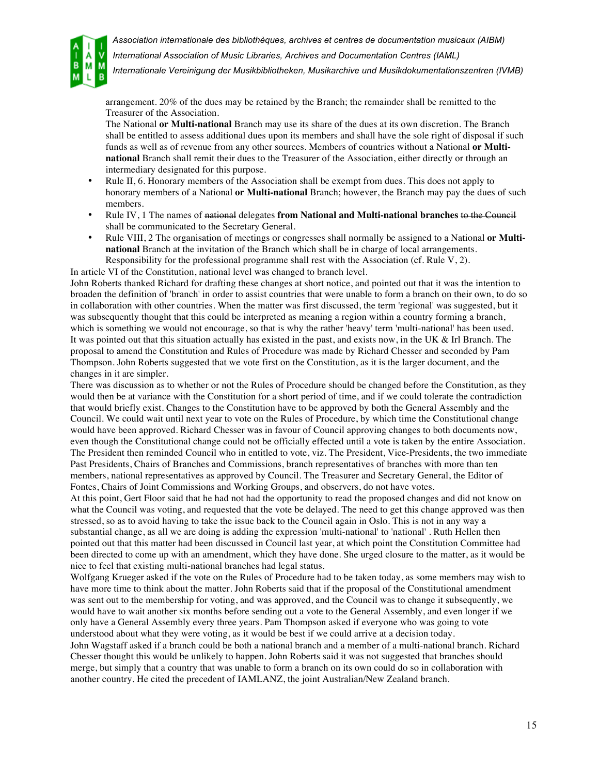

*International Association of Music Libraries, Archives and Documentation Centres (IAML)*

*Internationale Vereinigung der Musikbibliotheken, Musikarchive und Musikdokumentationszentren (IVMB)*

arrangement. 20% of the dues may be retained by the Branch; the remainder shall be remitted to the Treasurer of the Association.

The National **or Multi-national** Branch may use its share of the dues at its own discretion. The Branch shall be entitled to assess additional dues upon its members and shall have the sole right of disposal if such funds as well as of revenue from any other sources. Members of countries without a National **or Multinational** Branch shall remit their dues to the Treasurer of the Association, either directly or through an intermediary designated for this purpose.

- Rule II, 6. Honorary members of the Association shall be exempt from dues. This does not apply to honorary members of a National **or Multi-national** Branch; however, the Branch may pay the dues of such members.
- Rule IV, 1 The names of national delegates **from National and Multi-national branches** to the Council shall be communicated to the Secretary General.
- Rule VIII, 2 The organisation of meetings or congresses shall normally be assigned to a National **or Multinational** Branch at the invitation of the Branch which shall be in charge of local arrangements. Responsibility for the professional programme shall rest with the Association (cf. Rule V, 2).

In article VI of the Constitution, national level was changed to branch level.

John Roberts thanked Richard for drafting these changes at short notice, and pointed out that it was the intention to broaden the definition of 'branch' in order to assist countries that were unable to form a branch on their own, to do so in collaboration with other countries. When the matter was first discussed, the term 'regional' was suggested, but it was subsequently thought that this could be interpreted as meaning a region within a country forming a branch, which is something we would not encourage, so that is why the rather 'heavy' term 'multi-national' has been used. It was pointed out that this situation actually has existed in the past, and exists now, in the UK & Irl Branch. The proposal to amend the Constitution and Rules of Procedure was made by Richard Chesser and seconded by Pam Thompson. John Roberts suggested that we vote first on the Constitution, as it is the larger document, and the changes in it are simpler.

There was discussion as to whether or not the Rules of Procedure should be changed before the Constitution, as they would then be at variance with the Constitution for a short period of time, and if we could tolerate the contradiction that would briefly exist. Changes to the Constitution have to be approved by both the General Assembly and the Council. We could wait until next year to vote on the Rules of Procedure, by which time the Constitutional change would have been approved. Richard Chesser was in favour of Council approving changes to both documents now, even though the Constitutional change could not be officially effected until a vote is taken by the entire Association. The President then reminded Council who in entitled to vote, viz. The President, Vice-Presidents, the two immediate Past Presidents, Chairs of Branches and Commissions, branch representatives of branches with more than ten members, national representatives as approved by Council. The Treasurer and Secretary General, the Editor of Fontes, Chairs of Joint Commissions and Working Groups, and observers, do not have votes.

At this point, Gert Floor said that he had not had the opportunity to read the proposed changes and did not know on what the Council was voting, and requested that the vote be delayed. The need to get this change approved was then stressed, so as to avoid having to take the issue back to the Council again in Oslo. This is not in any way a substantial change, as all we are doing is adding the expression 'multi-national' to 'national' . Ruth Hellen then pointed out that this matter had been discussed in Council last year, at which point the Constitution Committee had been directed to come up with an amendment, which they have done. She urged closure to the matter, as it would be nice to feel that existing multi-national branches had legal status.

Wolfgang Krueger asked if the vote on the Rules of Procedure had to be taken today, as some members may wish to have more time to think about the matter. John Roberts said that if the proposal of the Constitutional amendment was sent out to the membership for voting, and was approved, and the Council was to change it subsequently, we would have to wait another six months before sending out a vote to the General Assembly, and even longer if we only have a General Assembly every three years. Pam Thompson asked if everyone who was going to vote understood about what they were voting, as it would be best if we could arrive at a decision today.

John Wagstaff asked if a branch could be both a national branch and a member of a multi-national branch. Richard Chesser thought this would be unlikely to happen. John Roberts said it was not suggested that branches should merge, but simply that a country that was unable to form a branch on its own could do so in collaboration with another country. He cited the precedent of IAMLANZ, the joint Australian/New Zealand branch.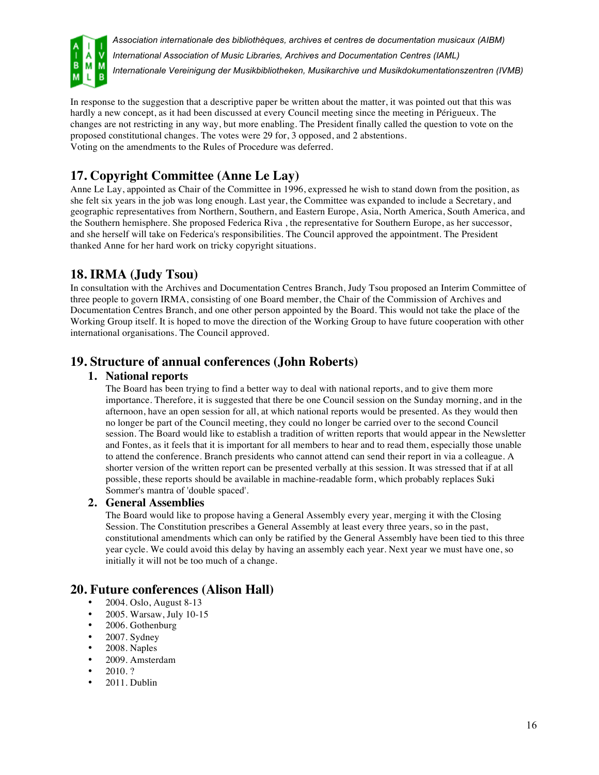

In response to the suggestion that a descriptive paper be written about the matter, it was pointed out that this was hardly a new concept, as it had been discussed at every Council meeting since the meeting in Périgueux. The changes are not restricting in any way, but more enabling. The President finally called the question to vote on the proposed constitutional changes. The votes were 29 for, 3 opposed, and 2 abstentions. Voting on the amendments to the Rules of Procedure was deferred.

# **17. Copyright Committee (Anne Le Lay)**

Anne Le Lay, appointed as Chair of the Committee in 1996, expressed he wish to stand down from the position, as she felt six years in the job was long enough. Last year, the Committee was expanded to include a Secretary, and geographic representatives from Northern, Southern, and Eastern Europe, Asia, North America, South America, and the Southern hemisphere. She proposed Federica Riva , the representative for Southern Europe, as her successor, and she herself will take on Federica's responsibilities. The Council approved the appointment. The President thanked Anne for her hard work on tricky copyright situations.

## **18. IRMA (Judy Tsou)**

In consultation with the Archives and Documentation Centres Branch, Judy Tsou proposed an Interim Committee of three people to govern IRMA, consisting of one Board member, the Chair of the Commission of Archives and Documentation Centres Branch, and one other person appointed by the Board. This would not take the place of the Working Group itself. It is hoped to move the direction of the Working Group to have future cooperation with other international organisations. The Council approved.

## **19. Structure of annual conferences (John Roberts)**

#### **1. National reports**

The Board has been trying to find a better way to deal with national reports, and to give them more importance. Therefore, it is suggested that there be one Council session on the Sunday morning, and in the afternoon, have an open session for all, at which national reports would be presented. As they would then no longer be part of the Council meeting, they could no longer be carried over to the second Council session. The Board would like to establish a tradition of written reports that would appear in the Newsletter and Fontes, as it feels that it is important for all members to hear and to read them, especially those unable to attend the conference. Branch presidents who cannot attend can send their report in via a colleague. A shorter version of the written report can be presented verbally at this session. It was stressed that if at all possible, these reports should be available in machine-readable form, which probably replaces Suki Sommer's mantra of 'double spaced'.

#### **2. General Assemblies**

The Board would like to propose having a General Assembly every year, merging it with the Closing Session. The Constitution prescribes a General Assembly at least every three years, so in the past, constitutional amendments which can only be ratified by the General Assembly have been tied to this three year cycle. We could avoid this delay by having an assembly each year. Next year we must have one, so initially it will not be too much of a change.

## **20. Future conferences (Alison Hall)**

- 2004. Oslo, August 8-13
- 2005. Warsaw, July 10-15<br>• 2006. Gothenburg
- 2006. Gothenburg
- 2007. Sydney
- 2008. Naples
- 2009. Amsterdam
- 2010. ?
- 2011. Dublin